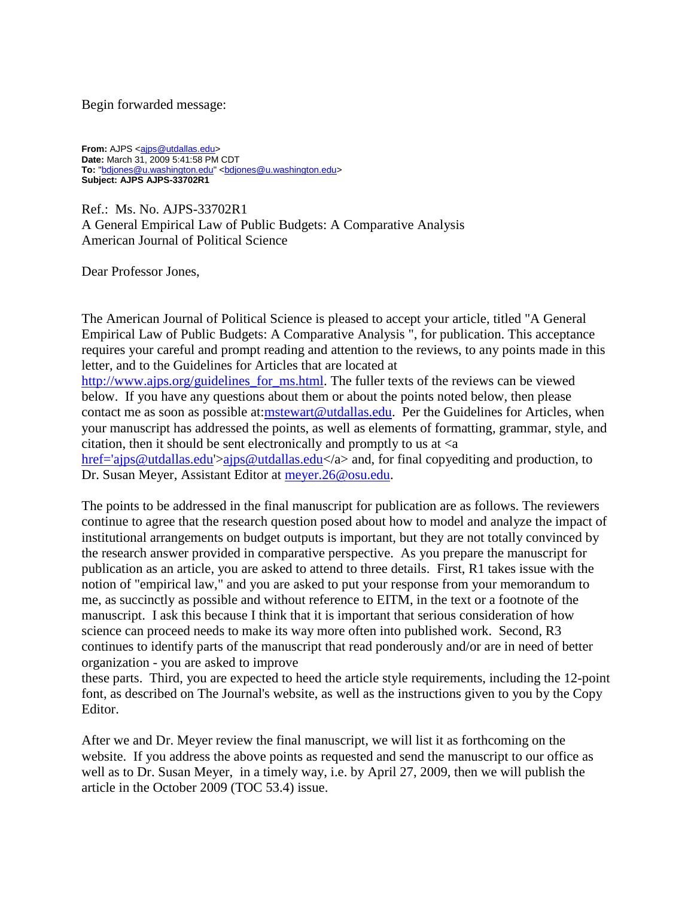Begin forwarded message:

**From:** AJPS [<ajps@utdallas.edu>](mailto:ajps@utdallas.edu) **Date:** March 31, 2009 5:41:58 PM CDT To: ["bdjones@u.washington.edu"](mailto:bdjones@u.washington.edu) [<bdjones@u.washington.edu>](mailto:bdjones@u.washington.edu) **Subject: AJPS AJPS-33702R1**

Ref.: Ms. No. AJPS-33702R1 A General Empirical Law of Public Budgets: A Comparative Analysis American Journal of Political Science

Dear Professor Jones,

The American Journal of Political Science is pleased to accept your article, titled "A General Empirical Law of Public Budgets: A Comparative Analysis ", for publication. This acceptance requires your careful and prompt reading and attention to the reviews, to any points made in this letter, and to the Guidelines for Articles that are located at

http://www.ajps.org/guidelines for ms.html. The fuller texts of the reviews can be viewed below. If you have any questions about them or about the points noted below, then please contact me as soon as possible at: mstewart@utdallas.edu. Per the Guidelines for Articles, when your manuscript has addressed the points, as well as elements of formatting, grammar, style, and citation, then it should be sent electronically and promptly to us at  $\langle a \rangle$ 

[href='ajps@utdallas.edu'](mailto:href=%27ajps@utdallas.edu)[>ajps@utdallas.edu<](mailto:ajps@utdallas.edu)/a> and, for final copyediting and production, to Dr. Susan Meyer, Assistant Editor at [meyer.26@osu.edu.](mailto:meyer.26@osu.edu)

The points to be addressed in the final manuscript for publication are as follows. The reviewers continue to agree that the research question posed about how to model and analyze the impact of institutional arrangements on budget outputs is important, but they are not totally convinced by the research answer provided in comparative perspective. As you prepare the manuscript for publication as an article, you are asked to attend to three details. First, R1 takes issue with the notion of "empirical law," and you are asked to put your response from your memorandum to me, as succinctly as possible and without reference to EITM, in the text or a footnote of the manuscript. I ask this because I think that it is important that serious consideration of how science can proceed needs to make its way more often into published work. Second, R3 continues to identify parts of the manuscript that read ponderously and/or are in need of better organization - you are asked to improve

these parts. Third, you are expected to heed the article style requirements, including the 12-point font, as described on The Journal's website, as well as the instructions given to you by the Copy Editor.

After we and Dr. Meyer review the final manuscript, we will list it as forthcoming on the website. If you address the above points as requested and send the manuscript to our office as well as to Dr. Susan Meyer, in a timely way, i.e. by April 27, 2009, then we will publish the article in the October 2009 (TOC 53.4) issue.